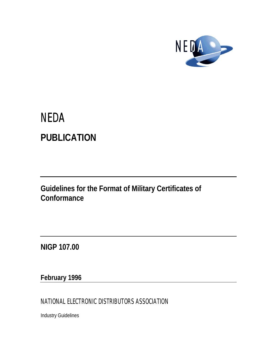

# **NEDA PUBLICATION**

**Guidelines for the Format of Military Certificates of Conformance**

**NIGP 107.00**

**February 1996**

NATIONAL ELECTRONIC DISTRIBUTORS ASSOCIATION

Industry Guidelines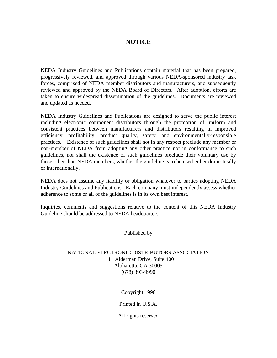# **NOTICE**

NEDA Industry Guidelines and Publications contain material that has been prepared, progressively reviewed, and approved through various NEDA-sponsored industry task forces, comprised of NEDA member distributors and manufacturers, and subsequently reviewed and approved by the NEDA Board of Directors. After adoption, efforts are taken to ensure widespread dissemination of the guidelines. Documents are reviewed and updated as needed.

NEDA Industry Guidelines and Publications are designed to serve the public interest including electronic component distributors through the promotion of uniform and consistent practices between manufacturers and distributors resulting in improved efficiency, profitability, product quality, safety, and environmentally-responsible practices. Existence of such guidelines shall not in any respect preclude any member or non-member of NEDA from adopting any other practice not in conformance to such guidelines, nor shall the existence of such guidelines preclude their voluntary use by those other than NEDA members, whether the guideline is to be used either domestically or internationally.

NEDA does not assume any liability or obligation whatever to parties adopting NEDA Industry Guidelines and Publications. Each company must independently assess whether adherence to some or all of the guidelines is in its own best interest.

Inquiries, comments and suggestions relative to the content of this NEDA Industry Guideline should be addressed to NEDA headquarters.

Published by

## NATIONAL ELECTRONIC DISTRIBUTORS ASSOCIATION 1111 Alderman Drive, Suite 400 Alpharetta, GA 30005 (678) 393-9990

Copyright 1996

Printed in U.S.A.

All rights reserved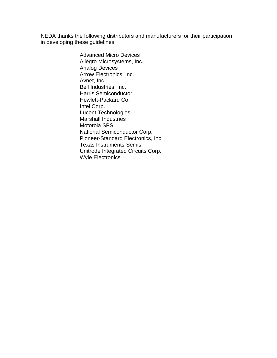NEDA thanks the following distributors and manufacturers for their participation in developing these guidelines:

> Advanced Micro Devices Allegro Microsystems, Inc. Analog Devices Arrow Electronics, Inc. Avnet, Inc. Bell Industries, Inc. Harris Semiconductor Hewlett-Packard Co. Intel Corp. Lucent Technologies Marshall Industries Motorola SPS National Semiconductor Corp. Pioneer-Standard Electronics, Inc. Texas Instruments-Semis. Unitrode Integrated Circuits Corp. Wyle Electronics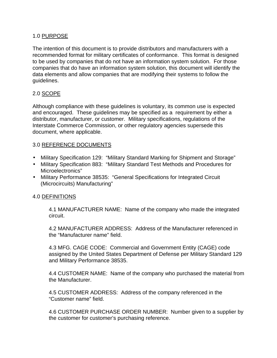## 1.0 PURPOSE

The intention of this document is to provide distributors and manufacturers with a recommended format for military certificates of conformance. This format is designed to be used by companies that do not have an information system solution. For those companies that do have an information system solution, this document will identify the data elements and allow companies that are modifying their systems to follow the guidelines.

# 2.0 SCOPE

Although compliance with these guidelines is voluntary, its common use is expected and encouraged. These guidelines may be specified as a requirement by either a distributor, manufacturer, or customer. Military specifications, regulations of the Interstate Commerce Commission, or other regulatory agencies supersede this document, where applicable.

# 3.0 REFERENCE DOCUMENTS

- Military Specification 129: "Military Standard Marking for Shipment and Storage"
- Military Specification 883: "Military Standard Test Methods and Procedures for Microelectronics"
- Military Performance 38535: "General Specifications for Integrated Circuit (Microcircuits) Manufacturing"

#### 4.0 DEFINITIONS

4.1 MANUFACTURER NAME: Name of the company who made the integrated circuit.

4.2 MANUFACTURER ADDRESS: Address of the Manufacturer referenced in the "Manufacturer name" field.

4.3 MFG. CAGE CODE: Commercial and Government Entity (CAGE) code assigned by the United States Department of Defense per Military Standard 129 and Military Performance 38535.

4.4 CUSTOMER NAME: Name of the company who purchased the material from the Manufacturer.

4.5 CUSTOMER ADDRESS: Address of the company referenced in the "Customer name" field.

4.6 CUSTOMER PURCHASE ORDER NUMBER: Number given to a supplier by the customer for customer's purchasing reference.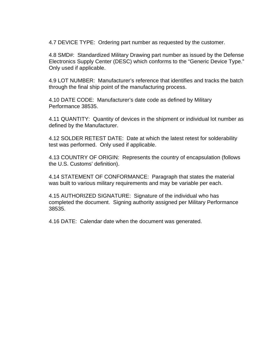4.7 DEVICE TYPE: Ordering part number as requested by the customer.

4.8 SMD#: Standardized Military Drawing part number as issued by the Defense Electronics Supply Center (DESC) which conforms to the "Generic Device Type." Only used if applicable.

4.9 LOT NUMBER: Manufacturer's reference that identifies and tracks the batch through the final ship point of the manufacturing process.

4.10 DATE CODE: Manufacturer's date code as defined by Military Performance 38535.

4.11 QUANTITY: Quantity of devices in the shipment or individual lot number as defined by the Manufacturer.

4.12 SOLDER RETEST DATE: Date at which the latest retest for solderability test was performed. Only used if applicable.

4.13 COUNTRY OF ORIGIN: Represents the country of encapsulation (follows the U.S. Customs' definition).

4.14 STATEMENT OF CONFORMANCE: Paragraph that states the material was built to various military requirements and may be variable per each.

4.15 AUTHORIZED SIGNATURE: Signature of the individual who has completed the document. Signing authority assigned per Military Performance 38535.

4.16 DATE: Calendar date when the document was generated.